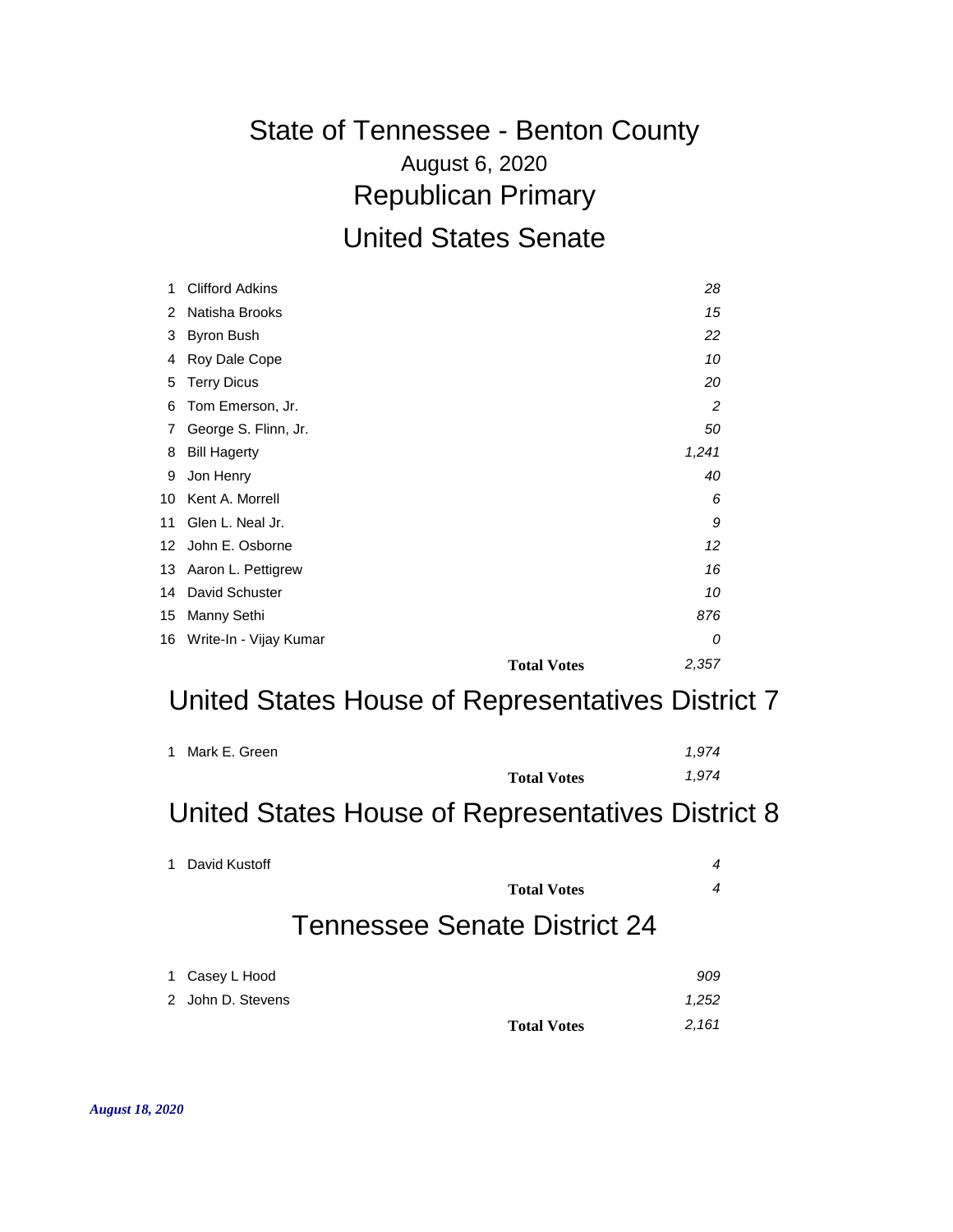### August 6, 2020 State of Tennessee - Benton County Republican Primary United States Senate

| 1  | <b>Clifford Adkins</b>    |                             | 28  |
|----|---------------------------|-----------------------------|-----|
| 2  | Natisha Brooks            |                             | 15  |
| 3  | Byron Bush                |                             | 22  |
| 4  | Roy Dale Cope             |                             | 10  |
| 5  | <b>Terry Dicus</b>        |                             | 20  |
| 6  | Tom Emerson, Jr.          |                             | 2   |
| 7  | George S. Flinn, Jr.      |                             | 50  |
| 8  | <b>Bill Hagerty</b>       | 1,241                       |     |
| 9  | Jon Henry                 |                             | 40  |
| 10 | Kent A. Morrell           |                             | 6   |
| 11 | Glen L. Neal Jr.          |                             | 9   |
|    | 12 John E. Osborne        |                             | 12  |
|    | 13 Aaron L. Pettigrew     |                             | 16  |
| 14 | David Schuster            |                             | 10  |
| 15 | Manny Sethi               |                             | 876 |
|    | 16 Write-In - Vijay Kumar |                             | 0   |
|    |                           | 2,357<br><b>Total Votes</b> |     |

#### United States House of Representatives District 7

| 1 Mark E. Green |                    | 1.974 |
|-----------------|--------------------|-------|
|                 | <b>Total Votes</b> | 1.974 |

#### United States House of Representatives District 8

| 1 | David Kustoff     |                              | 4     |
|---|-------------------|------------------------------|-------|
|   |                   | <b>Total Votes</b>           | 4     |
|   |                   | Tennessee Senate District 24 |       |
| 1 | Casey L Hood      |                              | 909   |
|   | 2 John D. Stevens |                              | 1,252 |
|   |                   | <b>Total Votes</b>           | 2,161 |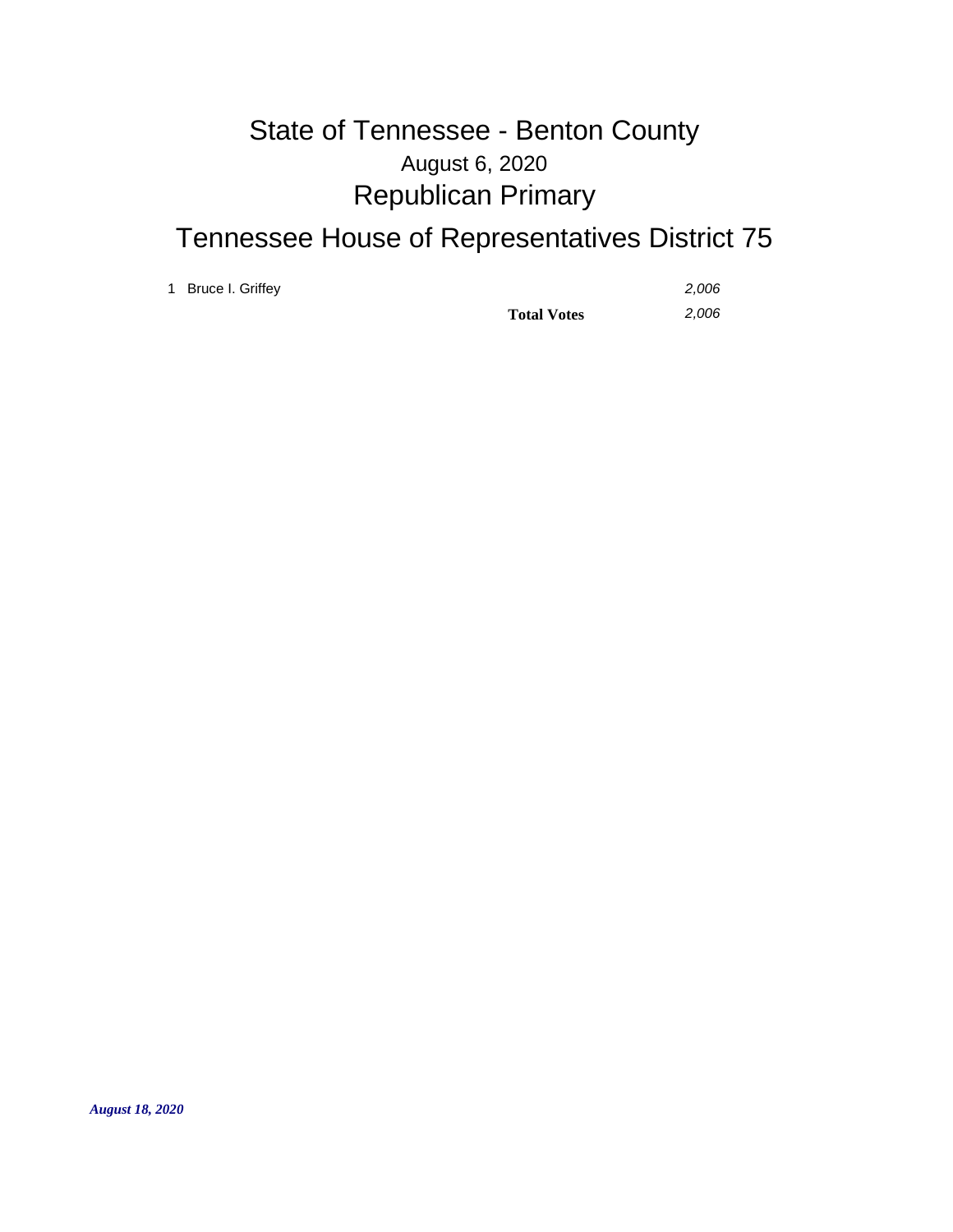# August 6, 2020 State of Tennessee - Benton County Republican Primary

### Tennessee House of Representatives District 75

1 Bruce I. Griffey *2,006*

**Total Votes** *2,006*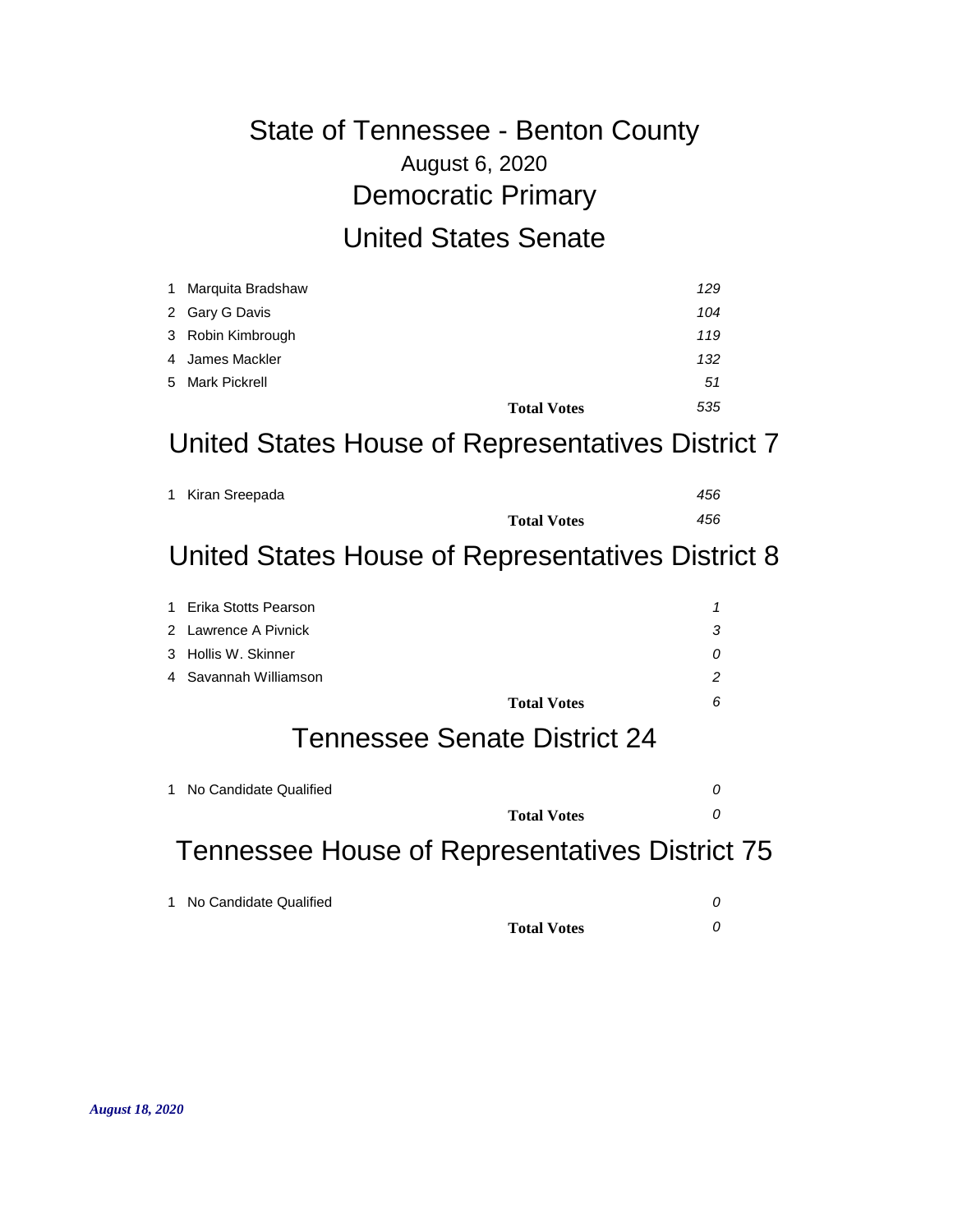# August 6, 2020 State of Tennessee - Benton County Democratic Primary United States Senate

| 1 Marquita Bradshaw | 129                       |  |
|---------------------|---------------------------|--|
| 2 Gary G Davis      | 104                       |  |
| 3 Robin Kimbrough   | 119                       |  |
| 4 James Mackler     | 132                       |  |
| 5 Mark Pickrell     | 51                        |  |
|                     | 535<br><b>Total Votes</b> |  |

#### United States House of Representatives District 7

| 1 Kiran Sreepada |                    | 456 |
|------------------|--------------------|-----|
|                  | <b>Total Votes</b> | 456 |

#### United States House of Representatives District 8

| 1 Erika Stotts Pearson |   |
|------------------------|---|
| 2 Lawrence A Pivnick   |   |
| 3 Hollis W. Skinner    |   |
| 4 Savannah Williamson  | っ |
| <b>Total Votes</b>     |   |

#### Tennessee Senate District 24

| 1 No Candidate Qualified |                    |  |
|--------------------------|--------------------|--|
|                          | <b>Total Votes</b> |  |

### Tennessee House of Representatives District 75

| 1 No Candidate Qualified |                    |  |
|--------------------------|--------------------|--|
|                          | <b>Total Votes</b> |  |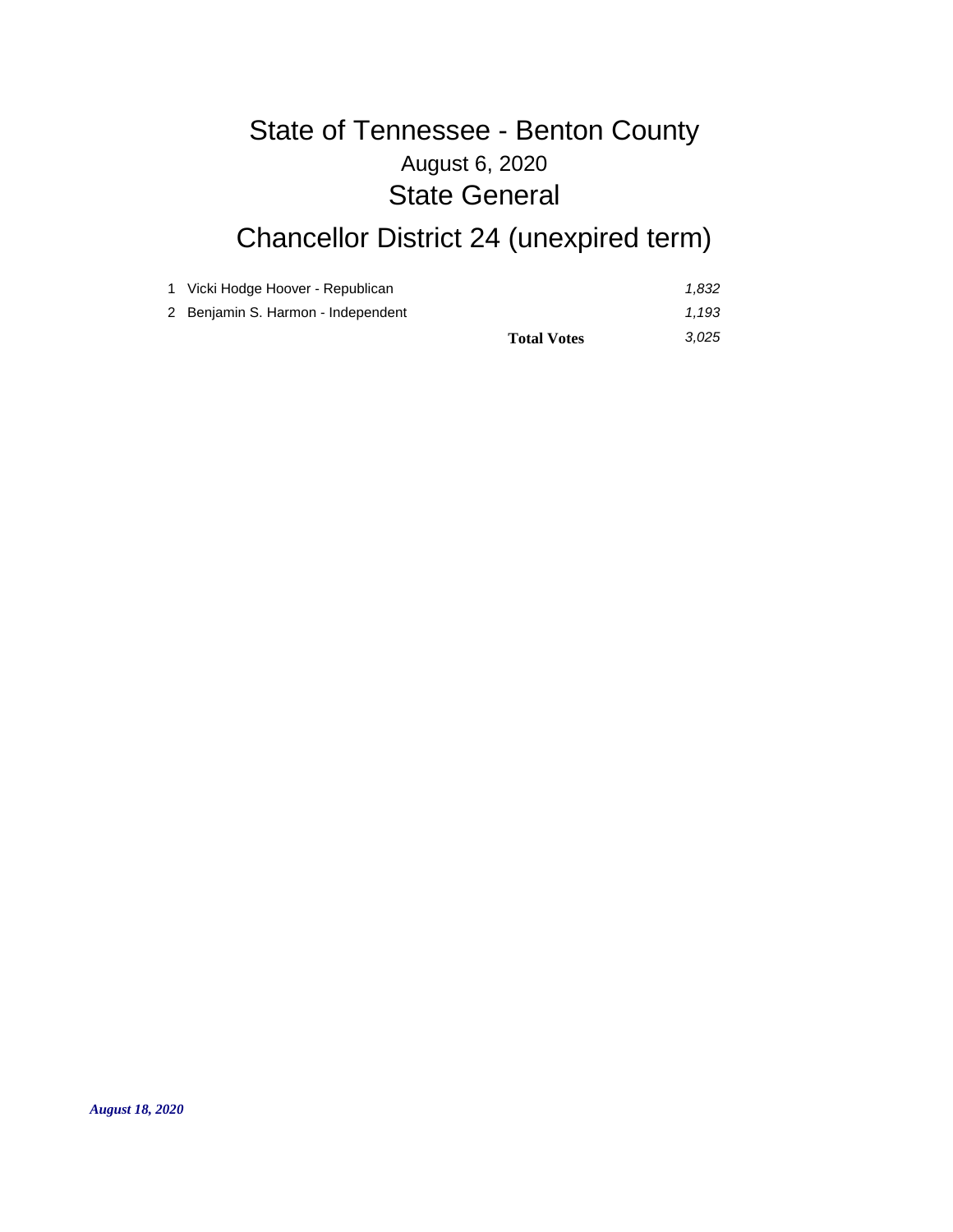# August 6, 2020 State of Tennessee - Benton County State General

# Chancellor District 24 (unexpired term)

| 2 Benjamin S. Harmon - Independent | <b>Total Votes</b> | 1.193<br>3.025 |
|------------------------------------|--------------------|----------------|
| 1 Vicki Hodge Hoover - Republican  |                    | 1.832          |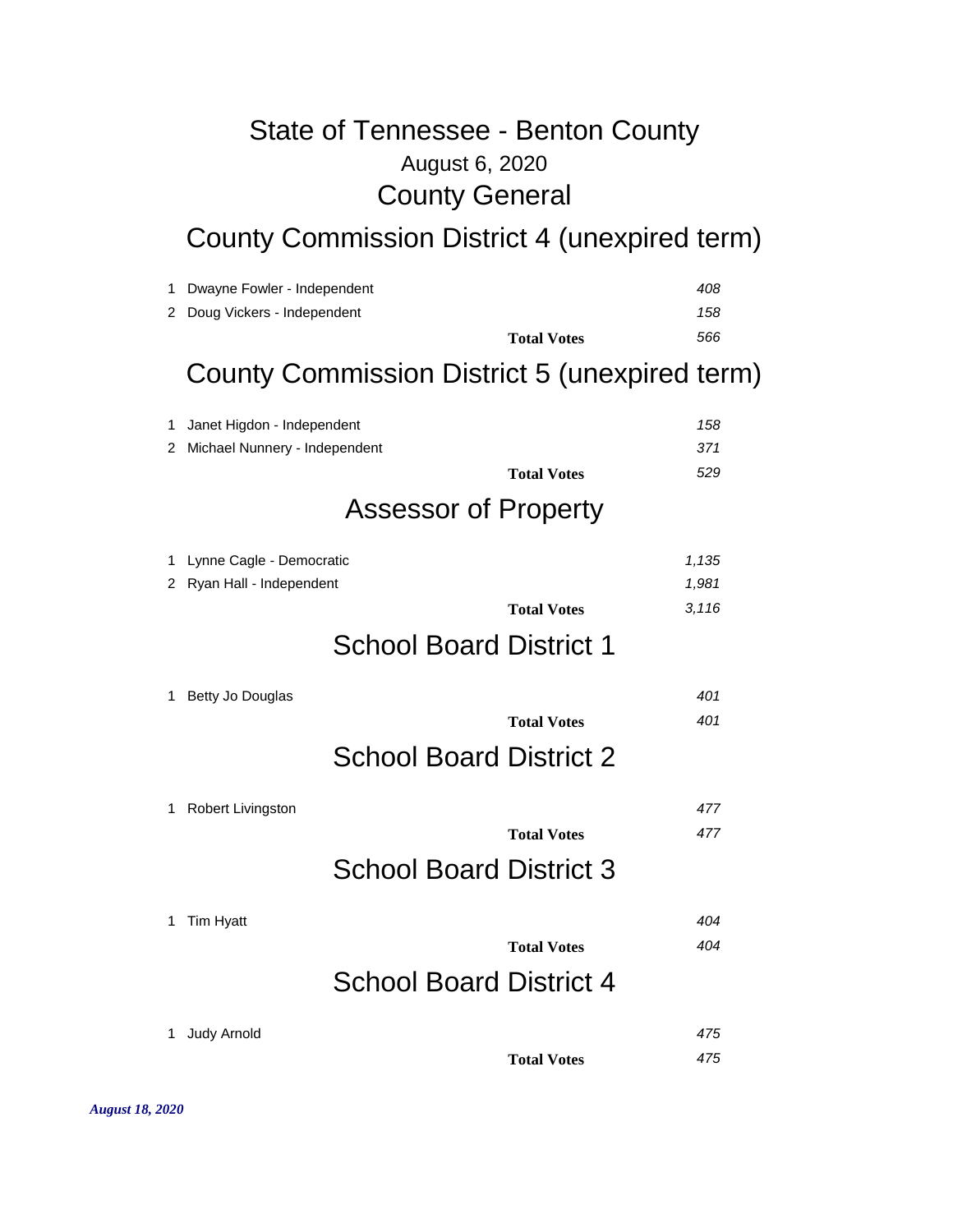### August 6, 2020 State of Tennessee - Benton County County General

County Commission District 4 (unexpired term)

| 1 | Dwayne Fowler - Independent                   | 408                         |  |
|---|-----------------------------------------------|-----------------------------|--|
|   | 2 Doug Vickers - Independent                  | 158                         |  |
|   |                                               | 566<br><b>Total Votes</b>   |  |
|   | County Commission District 5 (unexpired term) |                             |  |
| 1 | Janet Higdon - Independent                    | 158                         |  |
|   | 2 Michael Nunnery - Independent               | 371                         |  |
|   |                                               | 529<br><b>Total Votes</b>   |  |
|   | <b>Assessor of Property</b>                   |                             |  |
|   | 1 Lynne Cagle - Democratic                    | 1,135                       |  |
|   | 2 Ryan Hall - Independent                     | 1,981                       |  |
|   |                                               | 3,116<br><b>Total Votes</b> |  |
|   | <b>School Board District 1</b>                |                             |  |
| 1 | Betty Jo Douglas                              | 401                         |  |
|   |                                               | 401<br><b>Total Votes</b>   |  |
|   | <b>School Board District 2</b>                |                             |  |
| 1 | Robert Livingston                             | 477                         |  |
|   |                                               | 477<br><b>Total Votes</b>   |  |
|   | <b>School Board District 3</b>                |                             |  |
| 1 | Tim Hyatt                                     | 404                         |  |
|   |                                               | 404<br><b>Total Votes</b>   |  |
|   | <b>School Board District 4</b>                |                             |  |
| 1 | <b>Judy Arnold</b>                            | 475                         |  |
|   |                                               | <b>Total Votes</b><br>475   |  |
|   |                                               |                             |  |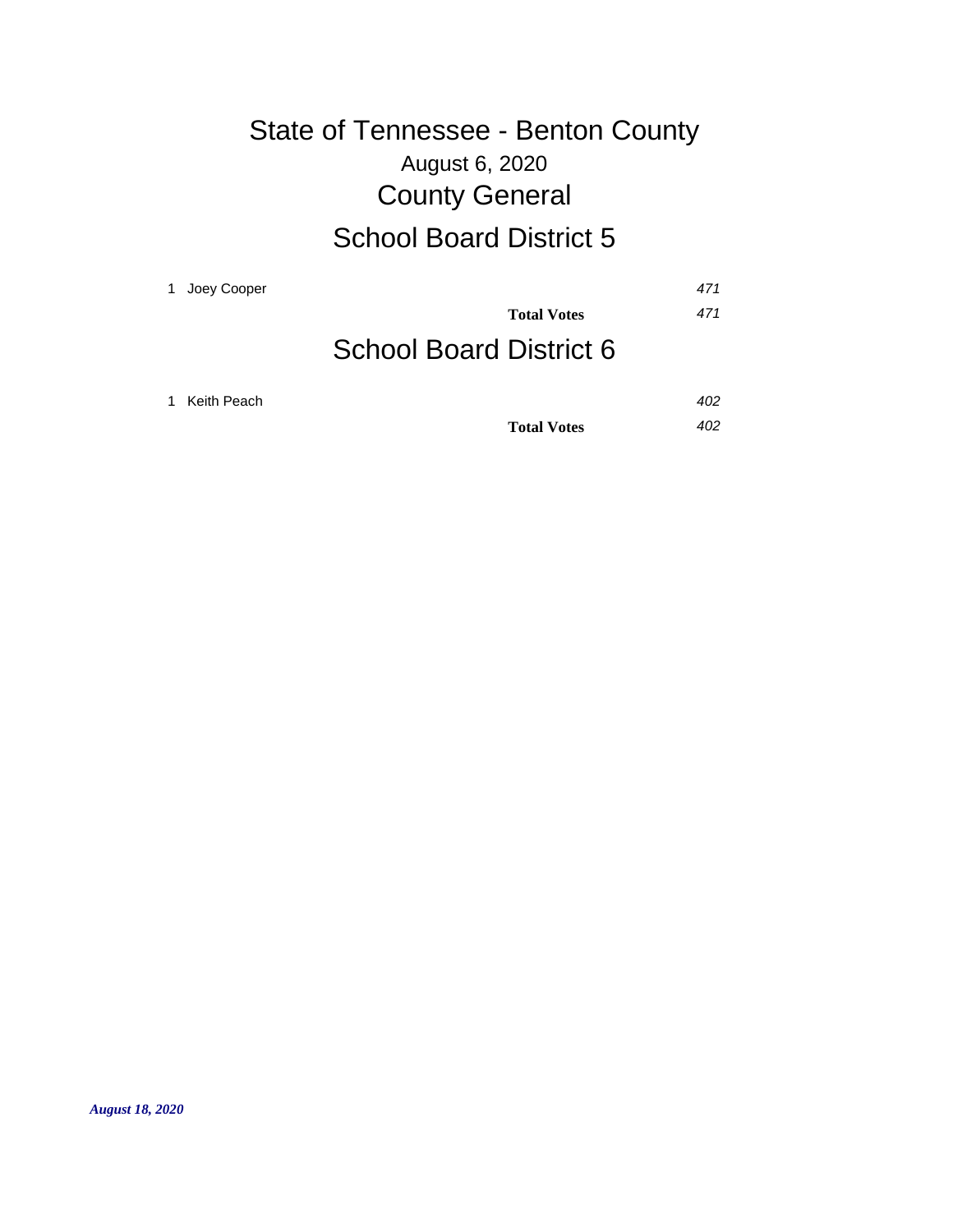### August 6, 2020 State of Tennessee - Benton County County General School Board District 5

| 1 | Joey Cooper |                                | 471 |
|---|-------------|--------------------------------|-----|
|   |             | <b>Total Votes</b>             | 471 |
|   |             | <b>School Board District 6</b> |     |
|   | Keith Peach |                                | 402 |
|   |             | <b>Total Votes</b>             | 402 |